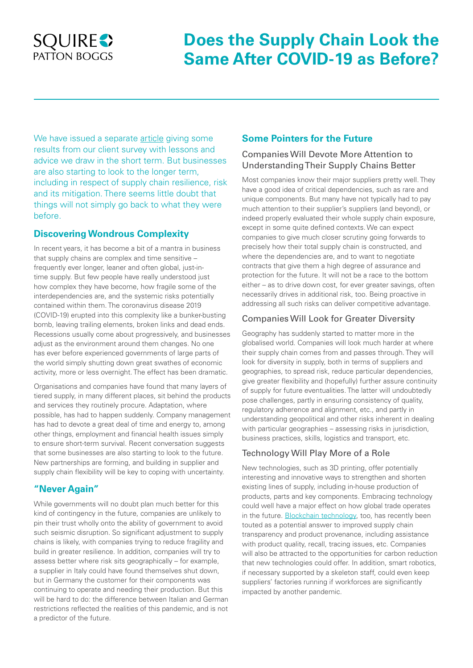## **SQUIRE** PATTON BOGGS

# **Does the Supply Chain Look the Same After COVID-19 as Before?**

We have issued a separate [article](https://www.squirepattonboggs.com/en/insights/publications/2020/04/covid-19-and-the-supply-chain) giving some results from our client survey with lessons and advice we draw in the short term. But businesses are also starting to look to the longer term, including in respect of supply chain resilience, risk and its mitigation. There seems little doubt that things will not simply go back to what they were before.

#### **Discovering Wondrous Complexity**

In recent years, it has become a bit of a mantra in business that supply chains are complex and time sensitive – frequently ever longer, leaner and often global, just-intime supply. But few people have really understood just how complex they have become, how fragile some of the interdependencies are, and the systemic risks potentially contained within them. The coronavirus disease 2019 (COVID-19) erupted into this complexity like a bunker-busting bomb, leaving trailing elements, broken links and dead ends. Recessions usually come about progressively, and businesses adjust as the environment around them changes. No one has ever before experienced governments of large parts of the world simply shutting down great swathes of economic activity, more or less overnight. The effect has been dramatic.

Organisations and companies have found that many layers of tiered supply, in many different places, sit behind the products and services they routinely procure. Adaptation, where possible, has had to happen suddenly. Company management has had to devote a great deal of time and energy to, among other things, employment and financial health issues simply to ensure short-term survival. Recent conversation suggests that some businesses are also starting to look to the future. New partnerships are forming, and building in supplier and supply chain flexibility will be key to coping with uncertainty.

### **"Never Again"**

While governments will no doubt plan much better for this kind of contingency in the future, companies are unlikely to pin their trust wholly onto the ability of government to avoid such seismic disruption. So significant adjustment to supply chains is likely, with companies trying to reduce fragility and build in greater resilience. In addition, companies will try to assess better where risk sits geographically – for example, a supplier in Italy could have found themselves shut down, but in Germany the customer for their components was continuing to operate and needing their production. But this will be hard to do: the difference between Italian and German restrictions reflected the realities of this pandemic, and is not a predictor of the future.

#### **Some Pointers for the Future**

#### Companies Will Devote More Attention to Understanding Their Supply Chains Better

Most companies know their major suppliers pretty well. They have a good idea of critical dependencies, such as rare and unique components. But many have not typically had to pay much attention to their supplier's suppliers (and beyond), or indeed properly evaluated their whole supply chain exposure, except in some quite defined contexts. We can expect companies to give much closer scrutiny going forwards to precisely how their total supply chain is constructed, and where the dependencies are, and to want to negotiate contracts that give them a high degree of assurance and protection for the future. It will not be a race to the bottom either – as to drive down cost, for ever greater savings, often necessarily drives in additional risk, too. Being proactive in addressing all such risks can deliver competitive advantage.

#### Companies Will Look for Greater Diversity

Geography has suddenly started to matter more in the globalised world. Companies will look much harder at where their supply chain comes from and passes through. They will look for diversity in supply, both in terms of suppliers and geographies, to spread risk, reduce particular dependencies, give greater flexibility and (hopefully) further assure continuity of supply for future eventualities. The latter will undoubtedly pose challenges, partly in ensuring consistency of quality, regulatory adherence and alignment, etc., and partly in understanding geopolitical and other risks inherent in dealing with particular geographies – assessing risks in jurisdiction, business practices, skills, logistics and transport, etc.

#### Technology Will Play More of a Role

New technologies, such as 3D printing, offer potentially interesting and innovative ways to strengthen and shorten existing lines of supply, including in-house production of products, parts and key components. Embracing technology could well have a major effect on how global trade operates in the future. [Blockchain technology,](https://www.squirepattonboggs.com/-/media/files/insights/publications/2019/12/food-provenance-the-question-on-everyones-lips/food_sector_alert.pdf) too, has recently been touted as a potential answer to improved supply chain transparency and product provenance, including assistance with product quality, recall, tracing issues, etc. Companies will also be attracted to the opportunities for carbon reduction that new technologies could offer. In addition, smart robotics, if necessary supported by a skeleton staff, could even keep suppliers' factories running if workforces are significantly impacted by another pandemic.